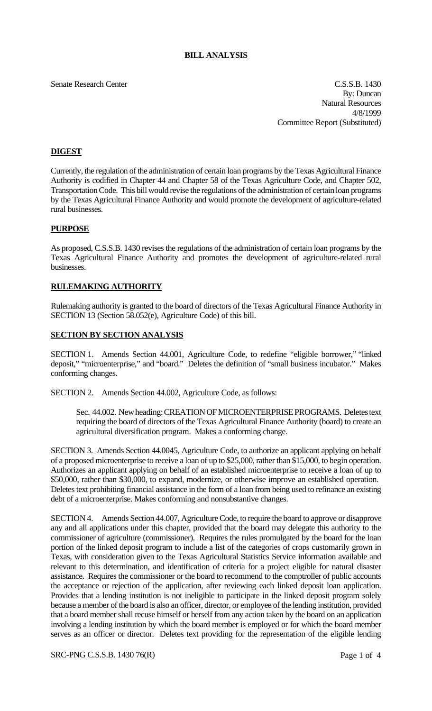## **BILL ANALYSIS**

Senate Research Center Cassach Center C.S.S.B. 1430 By: Duncan Natural Resources 4/8/1999 Committee Report (Substituted)

# **DIGEST**

Currently, the regulation of the administration of certain loan programs by the Texas Agricultural Finance Authority is codified in Chapter 44 and Chapter 58 of the Texas Agriculture Code, and Chapter 502, Transportation Code. This bill would revise the regulations of the administration of certain loan programs by the Texas Agricultural Finance Authority and would promote the development of agriculture-related rural businesses.

## **PURPOSE**

As proposed, C.S.S.B. 1430 revises the regulations of the administration of certain loan programs by the Texas Agricultural Finance Authority and promotes the development of agriculture-related rural businesses.

## **RULEMAKING AUTHORITY**

Rulemaking authority is granted to the board of directors of the Texas Agricultural Finance Authority in SECTION 13 (Section 58.052(e), Agriculture Code) of this bill.

## **SECTION BY SECTION ANALYSIS**

SECTION 1. Amends Section 44.001, Agriculture Code, to redefine "eligible borrower," "linked deposit," "microenterprise," and "board." Deletes the definition of "small business incubator." Makes conforming changes.

SECTION 2. Amends Section 44.002, Agriculture Code, as follows:

Sec. 44.002. New heading: CREATION OF MICROENTERPRISE PROGRAMS. Deletes text requiring the board of directors of the Texas Agricultural Finance Authority (board) to create an agricultural diversification program. Makes a conforming change.

SECTION 3. Amends Section 44.0045, Agriculture Code, to authorize an applicant applying on behalf of a proposed microenterprise to receive a loan of up to \$25,000, rather than \$15,000, to begin operation. Authorizes an applicant applying on behalf of an established microenterprise to receive a loan of up to \$50,000, rather than \$30,000, to expand, modernize, or otherwise improve an established operation. Deletes text prohibiting financial assistance in the form of a loan from being used to refinance an existing debt of a microenterprise. Makes conforming and nonsubstantive changes.

SECTION 4. Amends Section 44.007, Agriculture Code, to require the board to approve or disapprove any and all applications under this chapter, provided that the board may delegate this authority to the commissioner of agriculture (commissioner). Requires the rules promulgated by the board for the loan portion of the linked deposit program to include a list of the categories of crops customarily grown in Texas, with consideration given to the Texas Agricultural Statistics Service information available and relevant to this determination, and identification of criteria for a project eligible for natural disaster assistance. Requires the commissioner or the board to recommend to the comptroller of public accounts the acceptance or rejection of the application, after reviewing each linked deposit loan application. Provides that a lending institution is not ineligible to participate in the linked deposit program solely because a member of the board is also an officer, director, or employee of the lending institution, provided that a board member shall recuse himself or herself from any action taken by the board on an application involving a lending institution by which the board member is employed or for which the board member serves as an officer or director. Deletes text providing for the representation of the eligible lending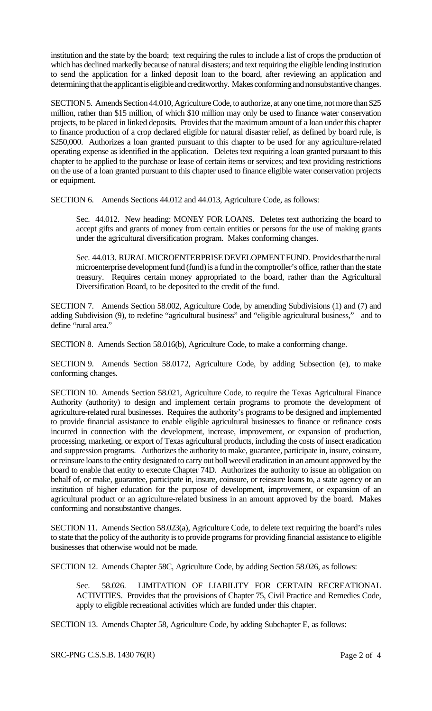institution and the state by the board; text requiring the rules to include a list of crops the production of which has declined markedly because of natural disasters; and text requiring the eligible lending institution to send the application for a linked deposit loan to the board, after reviewing an application and determining that the applicant is eligible and creditworthy. Makes conforming and nonsubstantive changes.

SECTION 5. Amends Section 44.010, Agriculture Code, to authorize, at any one time, not more than \$25 million, rather than \$15 million, of which \$10 million may only be used to finance water conservation projects, to be placed in linked deposits. Provides that the maximum amount of a loan under this chapter to finance production of a crop declared eligible for natural disaster relief, as defined by board rule, is \$250,000. Authorizes a loan granted pursuant to this chapter to be used for any agriculture-related operating expense as identified in the application. Deletes text requiring a loan granted pursuant to this chapter to be applied to the purchase or lease of certain items or services; and text providing restrictions on the use of a loan granted pursuant to this chapter used to finance eligible water conservation projects or equipment.

SECTION 6. Amends Sections 44.012 and 44.013, Agriculture Code, as follows:

Sec. 44.012. New heading: MONEY FOR LOANS. Deletes text authorizing the board to accept gifts and grants of money from certain entities or persons for the use of making grants under the agricultural diversification program. Makes conforming changes.

Sec. 44.013. RURAL MICROENTERPRISE DEVELOPMENT FUND. Provides that the rural microenterprise development fund (fund) is a fund in the comptroller's office, rather than the state treasury. Requires certain money appropriated to the board, rather than the Agricultural Diversification Board, to be deposited to the credit of the fund.

SECTION 7. Amends Section 58.002, Agriculture Code, by amending Subdivisions (1) and (7) and adding Subdivision (9), to redefine "agricultural business" and "eligible agricultural business," and to define "rural area."

SECTION 8. Amends Section 58.016(b), Agriculture Code, to make a conforming change.

SECTION 9. Amends Section 58.0172, Agriculture Code, by adding Subsection (e), to make conforming changes.

SECTION 10. Amends Section 58.021, Agriculture Code, to require the Texas Agricultural Finance Authority (authority) to design and implement certain programs to promote the development of agriculture-related rural businesses. Requires the authority's programs to be designed and implemented to provide financial assistance to enable eligible agricultural businesses to finance or refinance costs incurred in connection with the development, increase, improvement, or expansion of production, processing, marketing, or export of Texas agricultural products, including the costs of insect eradication and suppression programs. Authorizes the authority to make, guarantee, participate in, insure, coinsure, or reinsure loans to the entity designated to carry out boll weevil eradication in an amount approved by the board to enable that entity to execute Chapter 74D. Authorizes the authority to issue an obligation on behalf of, or make, guarantee, participate in, insure, coinsure, or reinsure loans to, a state agency or an institution of higher education for the purpose of development, improvement, or expansion of an agricultural product or an agriculture-related business in an amount approved by the board. Makes conforming and nonsubstantive changes.

SECTION 11. Amends Section 58.023(a), Agriculture Code, to delete text requiring the board's rules to state that the policy of the authority is to provide programs for providing financial assistance to eligible businesses that otherwise would not be made.

SECTION 12. Amends Chapter 58C, Agriculture Code, by adding Section 58.026, as follows:

Sec. 58.026. LIMITATION OF LIABILITY FOR CERTAIN RECREATIONAL ACTIVITIES. Provides that the provisions of Chapter 75, Civil Practice and Remedies Code, apply to eligible recreational activities which are funded under this chapter.

SECTION 13. Amends Chapter 58, Agriculture Code, by adding Subchapter E, as follows: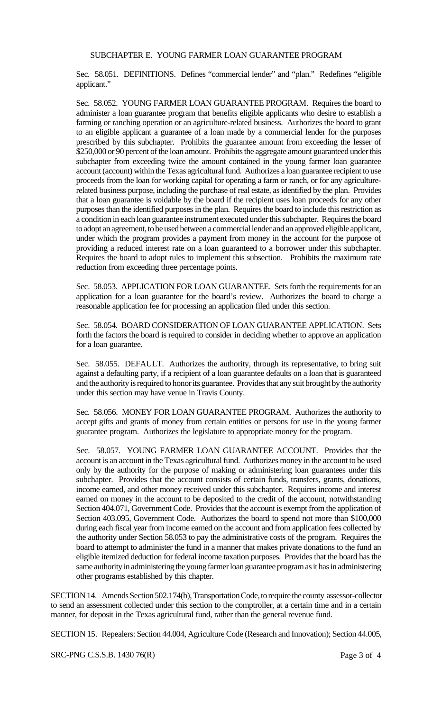#### SUBCHAPTER E. YOUNG FARMER LOAN GUARANTEE PROGRAM

Sec. 58.051. DEFINITIONS. Defines "commercial lender" and "plan." Redefines "eligible applicant."

Sec. 58.052. YOUNG FARMER LOAN GUARANTEE PROGRAM. Requires the board to administer a loan guarantee program that benefits eligible applicants who desire to establish a farming or ranching operation or an agriculture-related business. Authorizes the board to grant to an eligible applicant a guarantee of a loan made by a commercial lender for the purposes prescribed by this subchapter. Prohibits the guarantee amount from exceeding the lesser of \$250,000 or 90 percent of the loan amount. Prohibits the aggregate amount guaranteed under this subchapter from exceeding twice the amount contained in the young farmer loan guarantee account (account) within the Texas agricultural fund. Authorizes a loan guarantee recipient to use proceeds from the loan for working capital for operating a farm or ranch, or for any agriculturerelated business purpose, including the purchase of real estate, as identified by the plan. Provides that a loan guarantee is voidable by the board if the recipient uses loan proceeds for any other purposes than the identified purposes in the plan. Requires the board to include this restriction as a condition in each loan guarantee instrument executed under this subchapter. Requires the board to adopt an agreement, to be used between a commercial lender and an approved eligible applicant, under which the program provides a payment from money in the account for the purpose of providing a reduced interest rate on a loan guaranteed to a borrower under this subchapter. Requires the board to adopt rules to implement this subsection. Prohibits the maximum rate reduction from exceeding three percentage points.

Sec. 58.053. APPLICATION FOR LOAN GUARANTEE. Sets forth the requirements for an application for a loan guarantee for the board's review. Authorizes the board to charge a reasonable application fee for processing an application filed under this section.

Sec. 58.054. BOARD CONSIDERATION OF LOAN GUARANTEE APPLICATION. Sets forth the factors the board is required to consider in deciding whether to approve an application for a loan guarantee.

Sec. 58.055. DEFAULT. Authorizes the authority, through its representative, to bring suit against a defaulting party, if a recipient of a loan guarantee defaults on a loan that is guaranteed and the authority is required to honor its guarantee. Provides that any suit brought by the authority under this section may have venue in Travis County.

Sec. 58.056. MONEY FOR LOAN GUARANTEE PROGRAM. Authorizes the authority to accept gifts and grants of money from certain entities or persons for use in the young farmer guarantee program. Authorizes the legislature to appropriate money for the program.

Sec. 58.057. YOUNG FARMER LOAN GUARANTEE ACCOUNT. Provides that the account is an account in the Texas agricultural fund. Authorizes money in the account to be used only by the authority for the purpose of making or administering loan guarantees under this subchapter. Provides that the account consists of certain funds, transfers, grants, donations, income earned, and other money received under this subchapter. Requires income and interest earned on money in the account to be deposited to the credit of the account, notwithstanding Section 404.071, Government Code. Provides that the account is exempt from the application of Section 403.095, Government Code. Authorizes the board to spend not more than \$100,000 during each fiscal year from income earned on the account and from application fees collected by the authority under Section 58.053 to pay the administrative costs of the program. Requires the board to attempt to administer the fund in a manner that makes private donations to the fund an eligible itemized deduction for federal income taxation purposes. Provides that the board has the same authority in administering the young farmer loan guarantee program as it has in administering other programs established by this chapter.

SECTION 14. Amends Section 502.174(b), Transportation Code, to require the county assessor-collector to send an assessment collected under this section to the comptroller, at a certain time and in a certain manner, for deposit in the Texas agricultural fund, rather than the general revenue fund.

SECTION 15. Repealers: Section 44.004, Agriculture Code (Research and Innovation); Section 44.005,

SRC-PNG C.S.S.B. 1430 76(R) Page 3 of 4